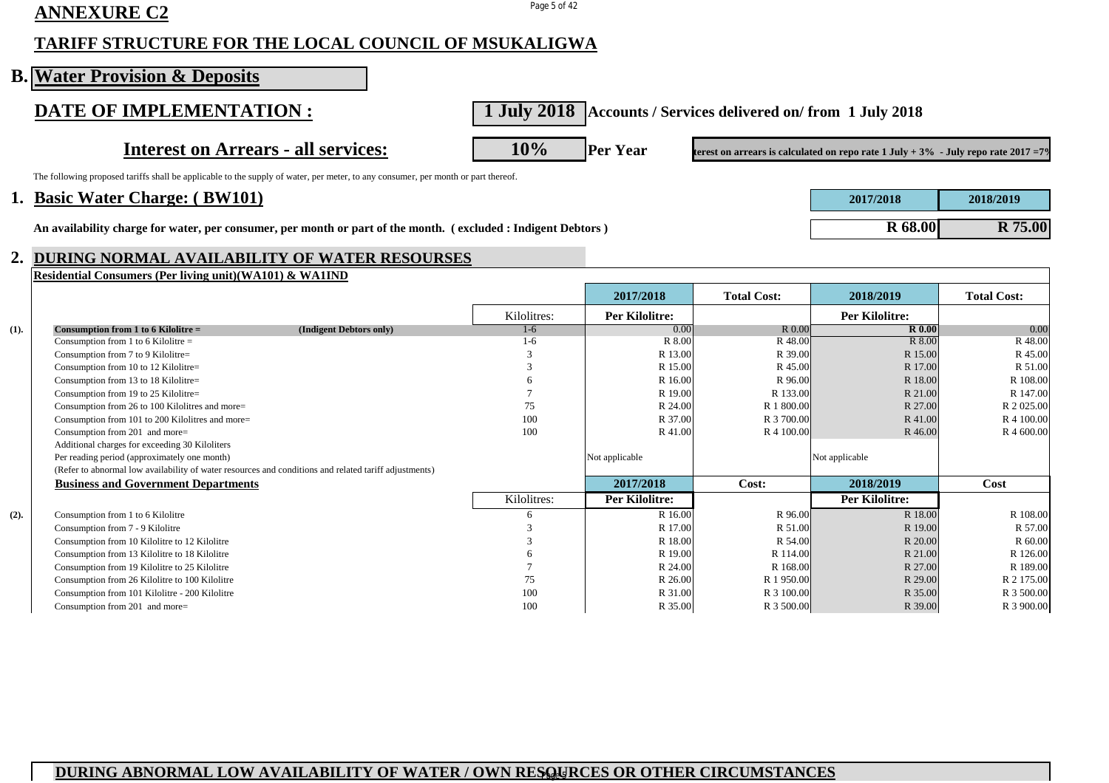# **ANNEXURE C2** Page 5 of 42

#### **TARIFF STRUCTURE FOR THE LOCAL COUNCIL OF MSUKALIGWA**

|      | <b>B. Water Provision &amp; Deposits</b>                                                                                                            |               |                                                                 |                    |                                                                                                |                     |
|------|-----------------------------------------------------------------------------------------------------------------------------------------------------|---------------|-----------------------------------------------------------------|--------------------|------------------------------------------------------------------------------------------------|---------------------|
|      | DATE OF IMPLEMENTATION :                                                                                                                            |               | 1 July 2018   Accounts / Services delivered on/from 1 July 2018 |                    |                                                                                                |                     |
|      | <b>Interest on Arrears - all services:</b>                                                                                                          | 10%           | <b>Per Year</b>                                                 |                    | terest on arrears is calculated on repo rate $1 \text{ July} + 3\%$ - July repo rate 2017 = 7% |                     |
|      | The following proposed tariffs shall be applicable to the supply of water, per meter, to any consumer, per month or part thereof.                   |               |                                                                 |                    |                                                                                                |                     |
|      | 1. Basic Water Charge: (BW101)                                                                                                                      |               |                                                                 |                    | 2017/2018                                                                                      | 2018/2019           |
|      | An availability charge for water, per consumer, per month or part of the month. (excluded: Indigent Debtors)                                        |               |                                                                 |                    | <b>R</b> 68.00                                                                                 | R 75.00             |
| 2.   | DURING NORMAL AVAILABILITY OF WATER RESOURSES                                                                                                       |               |                                                                 |                    |                                                                                                |                     |
|      | Residential Consumers (Per living unit) (WA101) & WA1IND                                                                                            |               | 2017/2018                                                       | <b>Total Cost:</b> | 2018/2019                                                                                      | <b>Total Cost:</b>  |
|      |                                                                                                                                                     | Kilolitres:   | <b>Per Kilolitre:</b>                                           |                    | <b>Per Kilolitre:</b>                                                                          |                     |
| (1). | Consumption from 1 to 6 Kilolitre $=$<br>(Indigent Debtors only)                                                                                    | $1-6$         | 0.00                                                            | R 0.00             | R <sub>0.00</sub>                                                                              | 0.00                |
|      | Consumption from 1 to 6 Kilolitre $=$                                                                                                               | $1-6$         | R 8.00                                                          | R 48.00            | R 8.00                                                                                         | R 48.00             |
|      | Consumption from 7 to 9 Kilolitre=                                                                                                                  | 3             | R 13.00                                                         | R 39.00            | R 15.00                                                                                        | R 45.00             |
|      | Consumption from 10 to 12 Kilolitre=                                                                                                                | 3             | R 15.00                                                         | R 45.00            | R 17.00                                                                                        | R 51.00             |
|      | Consumption from 13 to 18 Kilolitre=                                                                                                                | 6             | R 16.00                                                         | R 96.00            | R 18.00                                                                                        | R 108.00            |
|      | Consumption from 19 to 25 Kilolitre=                                                                                                                | 7             | R 19.00                                                         | R 133.00           | R 21.00                                                                                        | R 147.00            |
|      | Consumption from 26 to 100 Kilolitres and more=                                                                                                     | 75            | R 24.00                                                         | R 1 800.00         | R 27.00                                                                                        | R 2 025.00          |
|      | Consumption from 101 to 200 Kilolitres and more=                                                                                                    | 100           | R 37.00                                                         | R 3 700.00         | R 41.00                                                                                        | R 4 100.00          |
|      | Consumption from 201 and more=                                                                                                                      | 100           | R 41.00                                                         | R 4 100.00         | R 46.00                                                                                        | R 4 600.00          |
|      | Additional charges for exceeding 30 Kiloliters                                                                                                      |               |                                                                 |                    |                                                                                                |                     |
|      | Per reading period (approximately one month)                                                                                                        |               | Not applicable                                                  |                    | Not applicable                                                                                 |                     |
|      | (Refer to abnormal low availability of water resources and conditions and related tariff adjustments)<br><b>Business and Government Departments</b> |               | 2017/2018                                                       | Cost:              | 2018/2019                                                                                      | Cost                |
|      |                                                                                                                                                     | Kilolitres:   | <b>Per Kilolitre:</b>                                           |                    | <b>Per Kilolitre:</b>                                                                          |                     |
|      |                                                                                                                                                     |               |                                                                 |                    |                                                                                                |                     |
| (2). | Consumption from 1 to 6 Kilolitre<br>Consumption from 7 - 9 Kilolitre                                                                               | 6<br>3        | R 16.00<br>R 17.00                                              | R 96.00<br>R 51.00 | R 18.00<br>R 19.00                                                                             | R 108.00<br>R 57.00 |
|      | Consumption from 10 Kilolitre to 12 Kilolitre                                                                                                       | $\mathcal{R}$ | R 18.00                                                         | R 54.00            | R 20.00                                                                                        | R 60.00             |
|      | Consumption from 13 Kilolitre to 18 Kilolitre                                                                                                       | 6             | R 19.00                                                         | R 114.00           | R 21.00                                                                                        | R 126.00            |
|      | Consumption from 19 Kilolitre to 25 Kilolitre                                                                                                       |               | R 24.00                                                         | R 168.00           | R 27.00                                                                                        | R 189.00            |
|      | Consumption from 26 Kilolitre to 100 Kilolitre                                                                                                      | 75            | R 26.00                                                         | R 1 950.00         | R 29.00                                                                                        | R 2 175.00          |
|      |                                                                                                                                                     |               |                                                                 |                    |                                                                                                |                     |
|      | Consumption from 101 Kilolitre - 200 Kilolitre                                                                                                      | 100           | R 31.00                                                         | R 3 100.00         | R 35.00                                                                                        | R 3 500.00          |